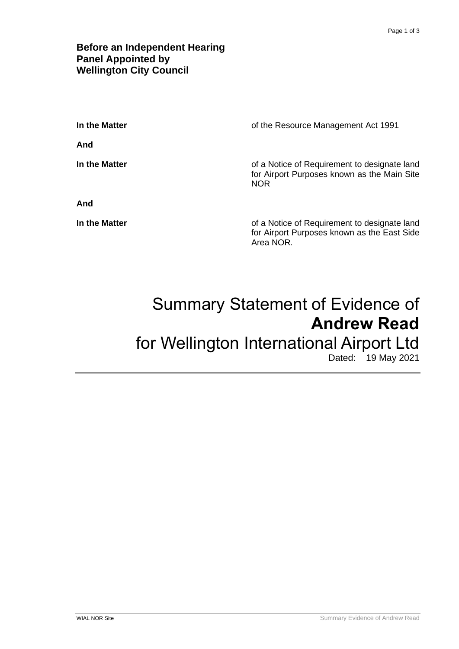## **Before an Independent Hearing Panel Appointed by Wellington City Council**

| In the Matter | of the Resource Management Act 1991                                                                       |
|---------------|-----------------------------------------------------------------------------------------------------------|
| And           |                                                                                                           |
| In the Matter | of a Notice of Requirement to designate land<br>for Airport Purposes known as the Main Site<br><b>NOR</b> |
| And           |                                                                                                           |
| In the Matter | of a Notice of Requirement to designate land<br>for Airport Purposes known as the East Side<br>Area NOR.  |

# Summary Statement of Evidence of **Andrew Read** for Wellington International Airport Ltd

Dated: 19 May 2021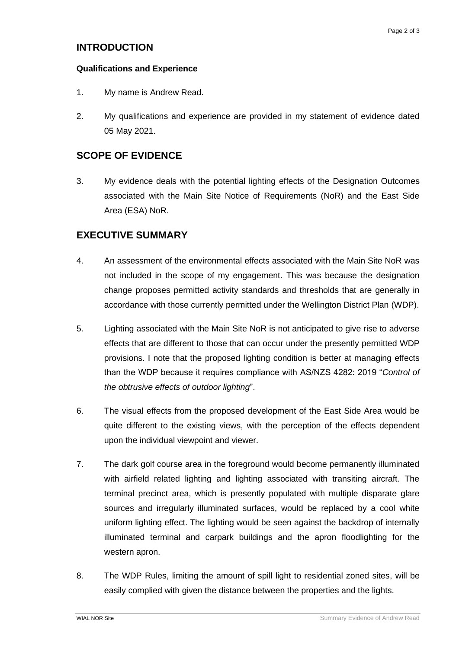## **INTRODUCTION**

#### **Qualifications and Experience**

- 1. My name is Andrew Read.
- 2. My qualifications and experience are provided in my statement of evidence dated 05 May 2021.

## **SCOPE OF EVIDENCE**

3. My evidence deals with the potential lighting effects of the Designation Outcomes associated with the Main Site Notice of Requirements (NoR) and the East Side Area (ESA) NoR.

## **EXECUTIVE SUMMARY**

- 4. An assessment of the environmental effects associated with the Main Site NoR was not included in the scope of my engagement. This was because the designation change proposes permitted activity standards and thresholds that are generally in accordance with those currently permitted under the Wellington District Plan (WDP).
- 5. Lighting associated with the Main Site NoR is not anticipated to give rise to adverse effects that are different to those that can occur under the presently permitted WDP provisions. I note that the proposed lighting condition is better at managing effects than the WDP because it requires compliance with AS/NZS 4282: 2019 "*Control of the obtrusive effects of outdoor lighting*".
- 6. The visual effects from the proposed development of the East Side Area would be quite different to the existing views, with the perception of the effects dependent upon the individual viewpoint and viewer.
- 7. The dark golf course area in the foreground would become permanently illuminated with airfield related lighting and lighting associated with transiting aircraft. The terminal precinct area, which is presently populated with multiple disparate glare sources and irregularly illuminated surfaces, would be replaced by a cool white uniform lighting effect. The lighting would be seen against the backdrop of internally illuminated terminal and carpark buildings and the apron floodlighting for the western apron.
- 8. The WDP Rules, limiting the amount of spill light to residential zoned sites, will be easily complied with given the distance between the properties and the lights.